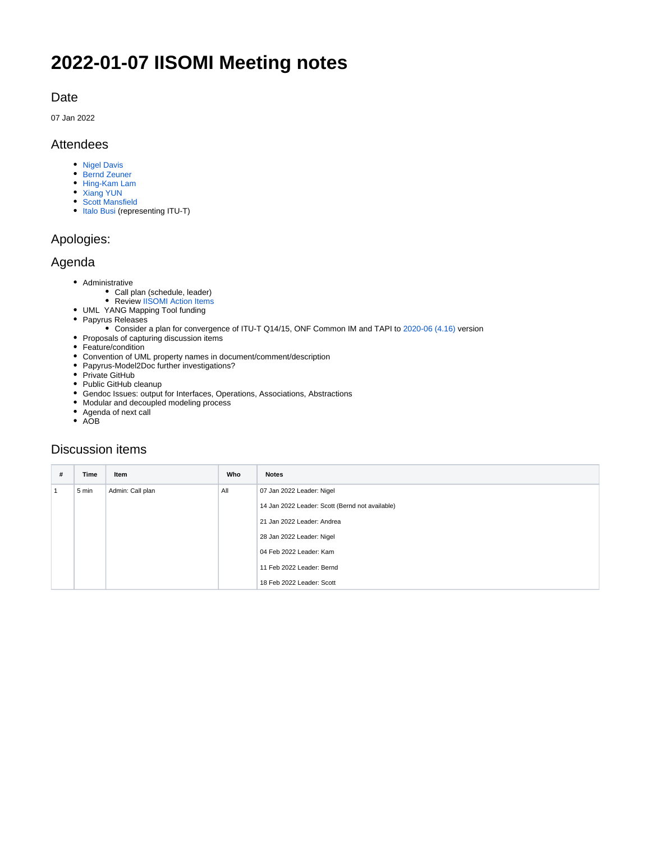# **2022-01-07 IISOMI Meeting notes**

### Date

07 Jan 2022

### Attendees

- [Nigel Davis](https://wiki.opennetworking.org/display/~ndavis@ciena.com)
- [Bernd Zeuner](https://wiki.opennetworking.org/display/~b.zeuner@telekom.de)
- [Hing-Kam Lam](https://wiki.opennetworking.org/display/~hingkam.lam)
- [Xiang YUN](https://wiki.opennetworking.org/display/~Xiang+YUN)
- [Scott Mansfield](https://wiki.opennetworking.org/display/~scott.mansfield)
- [Italo Busi](https://wiki.opennetworking.org/display/~ibusi) (representing ITU-T)

### Apologies:

#### Agenda

- Administrative
	- Call plan (schedule, leader)
	- Review [IISOMI Action Items](https://urldefense.com/v3/__https:/wiki.opennetworking.org/display/OIMT/IISOMI*Action*Items__;Kys!!OSsGDw!bPcuD8T61uZXjZHWBR2z2rReR13F5Gi30NncSztOJ1pvbP-FXpzy-7LbFNHN$)
- UML YANG Mapping Tool funding
- Papyrus Releases
	- Consider a plan for convergence of ITU-T Q14/15, ONF Common IM and TAPI to [2020-06 \(4.16\)](https://www.eclipse.org/downloads/packages/release/2020-06/r/eclipse-modeling-tools) version
- Proposals of capturing discussion items
- Feature/condition
- Convention of UML property names in document/comment/description
- Papyrus-Model2Doc further investigations?
- Private GitHub
- Public GitHub cleanup
- Gendoc Issues: output for Interfaces, Operations, Associations, Abstractions
- Modular and decoupled modeling process
- Agenda of next call
- $\bullet$  AOB

### Discussion items

| # | Time  | Item             | Who | <b>Notes</b>                                    |
|---|-------|------------------|-----|-------------------------------------------------|
|   | 5 min | Admin: Call plan | All | 07 Jan 2022 Leader: Nigel                       |
|   |       |                  |     | 14 Jan 2022 Leader: Scott (Bernd not available) |
|   |       |                  |     | 21 Jan 2022 Leader: Andrea                      |
|   |       |                  |     | 28 Jan 2022 Leader: Nigel                       |
|   |       |                  |     | 04 Feb 2022 Leader: Kam                         |
|   |       |                  |     | 11 Feb 2022 Leader: Bernd                       |
|   |       |                  |     | 18 Feb 2022 Leader: Scott                       |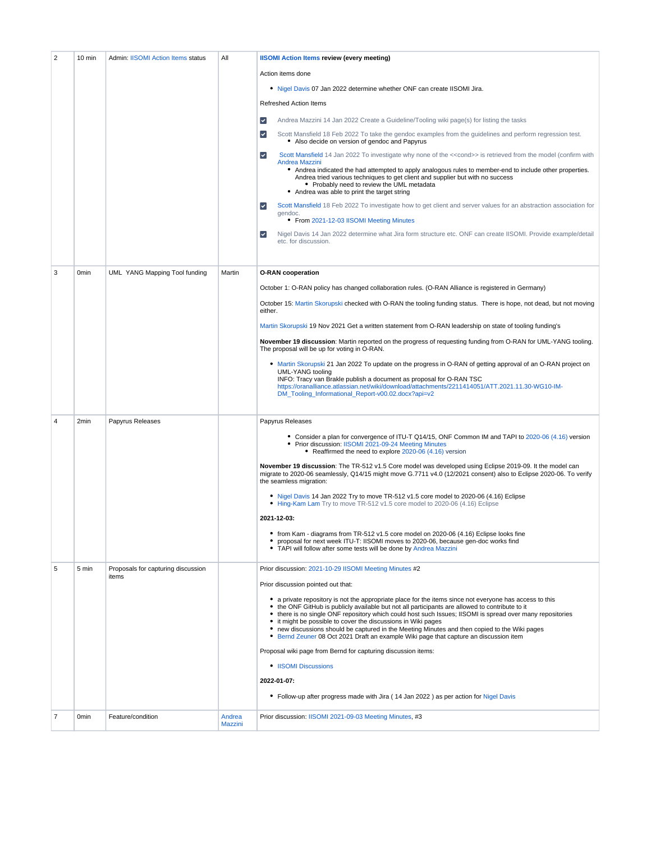| $\overline{2}$ | 10 min           | <b>Admin: IISOMI Action Items status</b>    | All                      | <b>IISOMI Action Items review (every meeting)</b><br>Action items done<br>. Nigel Davis 07 Jan 2022 determine whether ONF can create IISOMI Jira.<br><b>Refreshed Action Items</b><br>$\blacktriangledown$<br>Andrea Mazzini 14 Jan 2022 Create a Guideline/Tooling wiki page(s) for listing the tasks<br>Scott Mansfield 18 Feb 2022 To take the gendoc examples from the guidelines and perform regression test.<br>$\blacktriangledown$<br>• Also decide on version of gendoc and Papyrus<br>$\blacktriangledown$<br>Scott Mansfield 14 Jan 2022 To investigate why none of the < <cond>&gt; is retrieved from the model (confirm with</cond>                                                                                                                                                                                                                                                                                                 |
|----------------|------------------|---------------------------------------------|--------------------------|--------------------------------------------------------------------------------------------------------------------------------------------------------------------------------------------------------------------------------------------------------------------------------------------------------------------------------------------------------------------------------------------------------------------------------------------------------------------------------------------------------------------------------------------------------------------------------------------------------------------------------------------------------------------------------------------------------------------------------------------------------------------------------------------------------------------------------------------------------------------------------------------------------------------------------------------------|
|                |                  |                                             |                          | Andrea Mazzini<br>• Andrea indicated the had attempted to apply analogous rules to member-end to include other properties.<br>Andrea tried various techniques to get client and supplier but with no success<br>• Probably need to review the UML metadata<br>• Andrea was able to print the target string<br>Scott Mansfield 18 Feb 2022 To investigate how to get client and server values for an abstraction association for<br>$\blacktriangledown$<br>gendoc.<br>• From 2021-12-03 IISOMI Meeting Minutes<br>$\blacktriangledown$<br>Nigel Davis 14 Jan 2022 determine what Jira form structure etc. ONF can create IISOMI. Provide example/detail<br>etc. for discussion.                                                                                                                                                                                                                                                                  |
| 3              | 0 <sub>min</sub> | UML YANG Mapping Tool funding               | Martin                   | <b>O-RAN</b> cooperation<br>October 1: O-RAN policy has changed collaboration rules. (O-RAN Alliance is registered in Germany)<br>October 15: Martin Skorupski checked with O-RAN the tooling funding status. There is hope, not dead, but not moving<br>either.<br>Martin Skorupski 19 Nov 2021 Get a written statement from O-RAN leadership on state of tooling funding's<br>November 19 discussion: Martin reported on the progress of requesting funding from O-RAN for UML-YANG tooling.<br>The proposal will be up for voting in O-RAN.<br>• Martin Skorupski 21 Jan 2022 To update on the progress in O-RAN of getting approval of an O-RAN project on<br>UML-YANG tooling<br>INFO: Tracy van Brakle publish a document as proposal for O-RAN TSC<br>https://oranalliance.atlassian.net/wiki/download/attachments/2211414051/ATT.2021.11.30-WG10-IM-<br>DM_Tooling_Informational_Report-v00.02.docx?api=v2                               |
| 4              | 2 <sub>min</sub> | Papyrus Releases                            |                          | Papyrus Releases<br>• Consider a plan for convergence of ITU-T Q14/15, ONF Common IM and TAPI to 2020-06 (4.16) version<br>• Prior discussion: IISOMI 2021-09-24 Meeting Minutes<br>• Reaffirmed the need to explore 2020-06 (4.16) version<br>November 19 discussion: The TR-512 v1.5 Core model was developed using Eclipse 2019-09. It the model can<br>migrate to 2020-06 seamlessly, Q14/15 might move G.7711 v4.0 (12/2021 consent) also to Eclipse 2020-06. To verify<br>the seamless migration:<br>• Nigel Davis 14 Jan 2022 Try to move TR-512 v1.5 core model to 2020-06 (4.16) Eclipse<br>Hing-Kam Lam Try to move TR-512 v1.5 core model to 2020-06 (4.16) Eclipse<br>2021-12-03:<br>• from Kam - diagrams from TR-512 v1.5 core model on 2020-06 (4.16) Eclipse looks fine<br>proposal for next week ITU-T: IISOMI moves to 2020-06, because gen-doc works find<br>TAPI will follow after some tests will be done by Andrea Mazzini |
| 5              | 5 min            | Proposals for capturing discussion<br>items |                          | Prior discussion: 2021-10-29 IISOMI Meeting Minutes #2<br>Prior discussion pointed out that:<br>• a private repository is not the appropriate place for the items since not everyone has access to this<br>• the ONF GitHub is publicly available but not all participants are allowed to contribute to it<br>• there is no single ONF repository which could host such Issues; IISOMI is spread over many repositories<br>• it might be possible to cover the discussions in Wiki pages<br>new discussions should be captured in the Meeting Minutes and then copied to the Wiki pages<br>• Bernd Zeuner 08 Oct 2021 Draft an example Wiki page that capture an discussion item<br>Proposal wiki page from Bernd for capturing discussion items:<br>• IISOMI Discussions<br>2022-01-07:<br>• Follow-up after progress made with Jira (14 Jan 2022) as per action for Nigel Davis                                                                |
| 7              | <b>Omin</b>      | Feature/condition                           | Andrea<br><b>Mazzini</b> | Prior discussion: IISOMI 2021-09-03 Meeting Minutes, #3                                                                                                                                                                                                                                                                                                                                                                                                                                                                                                                                                                                                                                                                                                                                                                                                                                                                                          |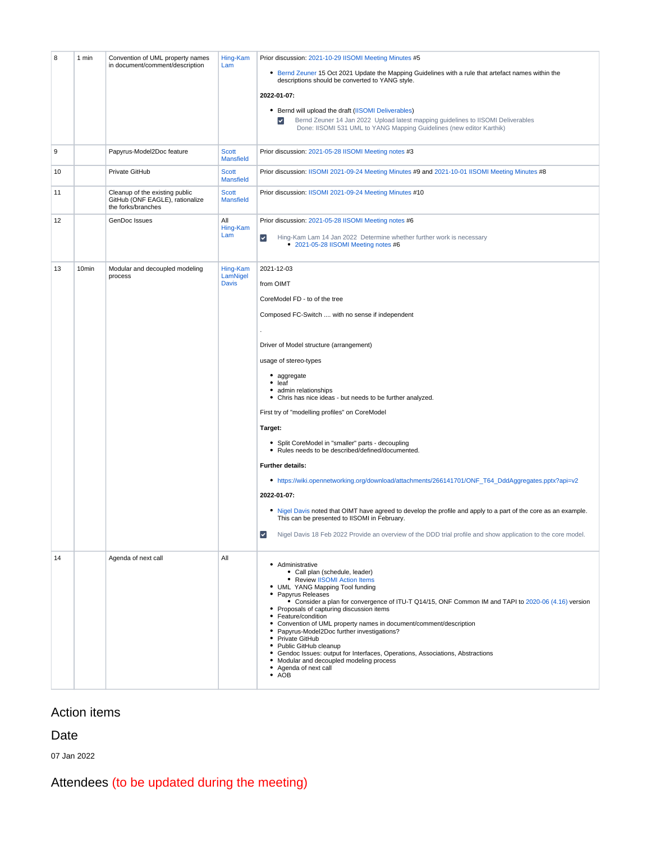| 8  | 1 min             | Convention of UML property names<br>in document/comment/description                     | Hing-Kam<br>Lam                      | Prior discussion: 2021-10-29 IISOMI Meeting Minutes #5<br>• Bernd Zeuner 15 Oct 2021 Update the Mapping Guidelines with a rule that artefact names within the<br>descriptions should be converted to YANG style.<br>2022-01-07:<br>• Bernd will upload the draft (IISOMI Deliverables)<br>Bernd Zeuner 14 Jan 2022 Upload latest mapping guidelines to IISOMI Deliverables<br>Done: IISOMI 531 UML to YANG Mapping Guidelines (new editor Karthik)                                                                                                                                                                                                                                                                                                                                                                                                                                                                                                     |
|----|-------------------|-----------------------------------------------------------------------------------------|--------------------------------------|--------------------------------------------------------------------------------------------------------------------------------------------------------------------------------------------------------------------------------------------------------------------------------------------------------------------------------------------------------------------------------------------------------------------------------------------------------------------------------------------------------------------------------------------------------------------------------------------------------------------------------------------------------------------------------------------------------------------------------------------------------------------------------------------------------------------------------------------------------------------------------------------------------------------------------------------------------|
| 9  |                   | Papyrus-Model2Doc feature                                                               | <b>Scott</b><br><b>Mansfield</b>     | Prior discussion: 2021-05-28 IISOMI Meeting notes #3                                                                                                                                                                                                                                                                                                                                                                                                                                                                                                                                                                                                                                                                                                                                                                                                                                                                                                   |
| 10 |                   | Private GitHub                                                                          | <b>Scott</b><br><b>Mansfield</b>     | Prior discussion: IISOMI 2021-09-24 Meeting Minutes #9 and 2021-10-01 IISOMI Meeting Minutes #8                                                                                                                                                                                                                                                                                                                                                                                                                                                                                                                                                                                                                                                                                                                                                                                                                                                        |
| 11 |                   | Cleanup of the existing public<br>GitHub (ONF EAGLE), rationalize<br>the forks/branches | <b>Scott</b><br><b>Mansfield</b>     | Prior discussion: IISOMI 2021-09-24 Meeting Minutes #10                                                                                                                                                                                                                                                                                                                                                                                                                                                                                                                                                                                                                                                                                                                                                                                                                                                                                                |
| 12 |                   | GenDoc Issues                                                                           | All<br>Hing-Kam<br>Lam               | Prior discussion: 2021-05-28 IISOMI Meeting notes #6<br>Hing-Kam Lam 14 Jan 2022 Determine whether further work is necessary<br>$\blacktriangledown$<br>• 2021-05-28 IISOMI Meeting notes #6                                                                                                                                                                                                                                                                                                                                                                                                                                                                                                                                                                                                                                                                                                                                                           |
| 13 | 10 <sub>min</sub> | Modular and decoupled modeling<br>process                                               | Hing-Kam<br>LamNigel<br><b>Davis</b> | 2021-12-03<br>from OIMT<br>CoreModel FD - to of the tree<br>Composed FC-Switch  with no sense if independent<br>Driver of Model structure (arrangement)<br>usage of stereo-types<br>• aggregate<br>٠<br>leaf<br>٠<br>admin relationships<br>• Chris has nice ideas - but needs to be further analyzed.<br>First try of "modelling profiles" on CoreModel<br>Target:<br>• Split CoreModel in "smaller" parts - decoupling<br>• Rules needs to be described/defined/documented.<br><b>Further details:</b><br>• https://wiki.opennetworking.org/download/attachments/266141701/ONF_T64_DddAggregates.pptx?api=v2<br>2022-01-07:<br>• Nigel Davis noted that OIMT have agreed to develop the profile and apply to a part of the core as an example.<br>This can be presented to IISOMI in February.<br>$\left\vert \mathbf{v}\right\vert$<br>Nigel Davis 18 Feb 2022 Provide an overview of the DDD trial profile and show application to the core model. |
| 14 |                   | Agenda of next call                                                                     | All                                  | • Administrative<br>• Call plan (schedule, leader)<br>• Review IISOMI Action Items<br>• UML YANG Mapping Tool funding<br>Papyrus Releases<br>٠<br>• Consider a plan for convergence of ITU-T Q14/15, ONF Common IM and TAPI to 2020-06 (4.16) version<br>• Proposals of capturing discussion items<br>Feature/condition<br>٠<br>Convention of UML property names in document/comment/description<br>٠<br>Papyrus-Model2Doc further investigations?<br>٠<br>• Private GitHub<br>• Public GitHub cleanup<br>• Gendoc Issues: output for Interfaces, Operations, Associations, Abstractions<br>• Modular and decoupled modeling process<br>Agenda of next call<br>٠<br>$\bullet$ AOB                                                                                                                                                                                                                                                                      |

# Action items

#### Date

07 Jan 2022

Attendees (to be updated during the meeting)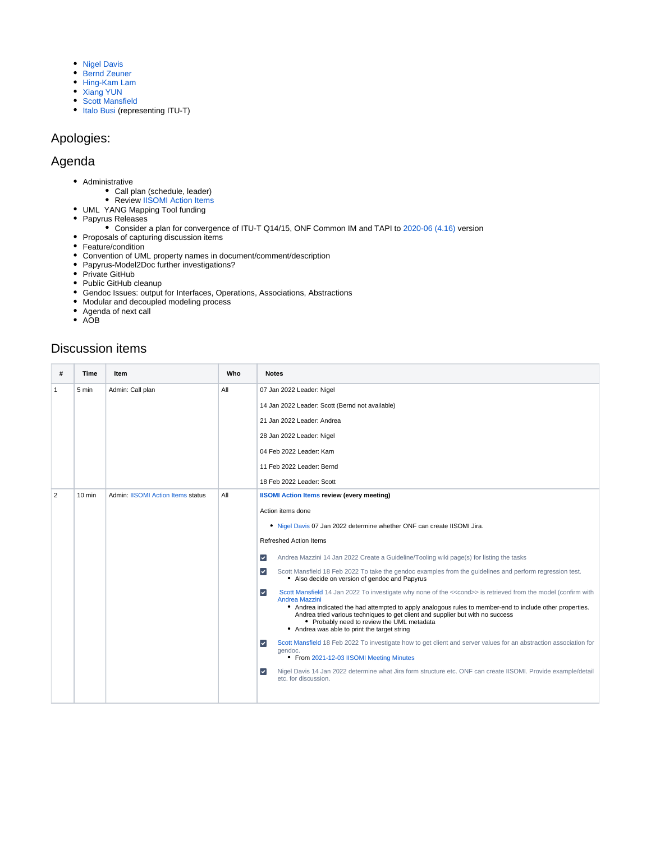- [Nigel Davis](https://wiki.opennetworking.org/display/~ndavis@ciena.com)
- [Bernd Zeuner](https://wiki.opennetworking.org/display/~b.zeuner@telekom.de)
- [Hing-Kam Lam](https://wiki.opennetworking.org/display/~hingkam.lam)
- [Xiang YUN](https://wiki.opennetworking.org/display/~Xiang+YUN)
- [Scott Mansfield](https://wiki.opennetworking.org/display/~scott.mansfield)
- [Italo Busi](https://wiki.opennetworking.org/display/~ibusi) (representing ITU-T)

### Apologies:

### Agenda

- Administrative
	- Call plan (schedule, leader)
	- Review [IISOMI Action Items](https://urldefense.com/v3/__https:/wiki.opennetworking.org/display/OIMT/IISOMI*Action*Items__;Kys!!OSsGDw!bPcuD8T61uZXjZHWBR2z2rReR13F5Gi30NncSztOJ1pvbP-FXpzy-7LbFNHN$)
- UML YANG Mapping Tool funding
- Papyrus Releases
	- Consider a plan for convergence of ITU-T Q14/15, ONF Common IM and TAPI to [2020-06 \(4.16\)](https://www.eclipse.org/downloads/packages/release/2020-06/r/eclipse-modeling-tools) version
- Proposals of capturing discussion items
- Feature/condition
- Convention of UML property names in document/comment/description
- Papyrus-Model2Doc further investigations?
- Private GitHub
- Public GitHub cleanup
- Gendoc Issues: output for Interfaces, Operations, Associations, Abstractions
- Modular and decoupled modeling process
- Agenda of next call
- $\bullet$  AOB

### Discussion items

| #              | Time             | ltem                                     | Who | <b>Notes</b>                                                                                                                                                                                                                                                                             |
|----------------|------------------|------------------------------------------|-----|------------------------------------------------------------------------------------------------------------------------------------------------------------------------------------------------------------------------------------------------------------------------------------------|
| 1              | 5 min            | Admin: Call plan                         | All | 07 Jan 2022 Leader: Nigel                                                                                                                                                                                                                                                                |
|                |                  |                                          |     | 14 Jan 2022 Leader: Scott (Bernd not available)                                                                                                                                                                                                                                          |
|                |                  |                                          |     | 21 Jan 2022 Leader: Andrea                                                                                                                                                                                                                                                               |
|                |                  |                                          |     | 28 Jan 2022 Leader: Nigel                                                                                                                                                                                                                                                                |
|                |                  |                                          |     | 04 Feb 2022 Leader: Kam                                                                                                                                                                                                                                                                  |
|                |                  |                                          |     | 11 Feb 2022 Leader: Bernd                                                                                                                                                                                                                                                                |
|                |                  |                                          |     | 18 Feb 2022 Leader: Scott                                                                                                                                                                                                                                                                |
| $\overline{2}$ | $10 \text{ min}$ | <b>Admin: IISOMI Action Items status</b> | All | <b>IISOMI Action Items review (every meeting)</b>                                                                                                                                                                                                                                        |
|                |                  |                                          |     | Action items done                                                                                                                                                                                                                                                                        |
|                |                  |                                          |     | . Nigel Davis 07 Jan 2022 determine whether ONF can create IISOMI Jira.                                                                                                                                                                                                                  |
|                |                  |                                          |     | <b>Refreshed Action Items</b>                                                                                                                                                                                                                                                            |
|                |                  |                                          |     | Andrea Mazzini 14 Jan 2022 Create a Guideline/Tooling wiki page(s) for listing the tasks<br>$\overline{\mathcal{L}}$                                                                                                                                                                     |
|                |                  |                                          |     | $\vert\downarrow\vert$<br>Scott Mansfield 18 Feb 2022 To take the gendoc examples from the guidelines and perform regression test.<br>• Also decide on version of gendoc and Papyrus                                                                                                     |
|                |                  |                                          |     | Scott Mansfield 14 Jan 2022 To investigate why none of the < <cond>&gt; is retrieved from the model (confirm with<br/><math>\vert\downarrow\vert</math><br/>Andrea Mazzini</cond>                                                                                                        |
|                |                  |                                          |     | • Andrea indicated the had attempted to apply analogous rules to member-end to include other properties.<br>Andrea tried various techniques to get client and supplier but with no success<br>• Probably need to review the UML metadata<br>• Andrea was able to print the target string |
|                |                  |                                          |     | Scott Mansfield 18 Feb 2022 To investigate how to get client and server values for an abstraction association for<br>$\checkmark$<br>gendoc.<br>• From 2021-12-03 IISOMI Meeting Minutes                                                                                                 |
|                |                  |                                          |     | Nigel Davis 14 Jan 2022 determine what Jira form structure etc. ONF can create IISOMI. Provide example/detail<br>$\blacktriangledown$<br>etc. for discussion.                                                                                                                            |
|                |                  |                                          |     |                                                                                                                                                                                                                                                                                          |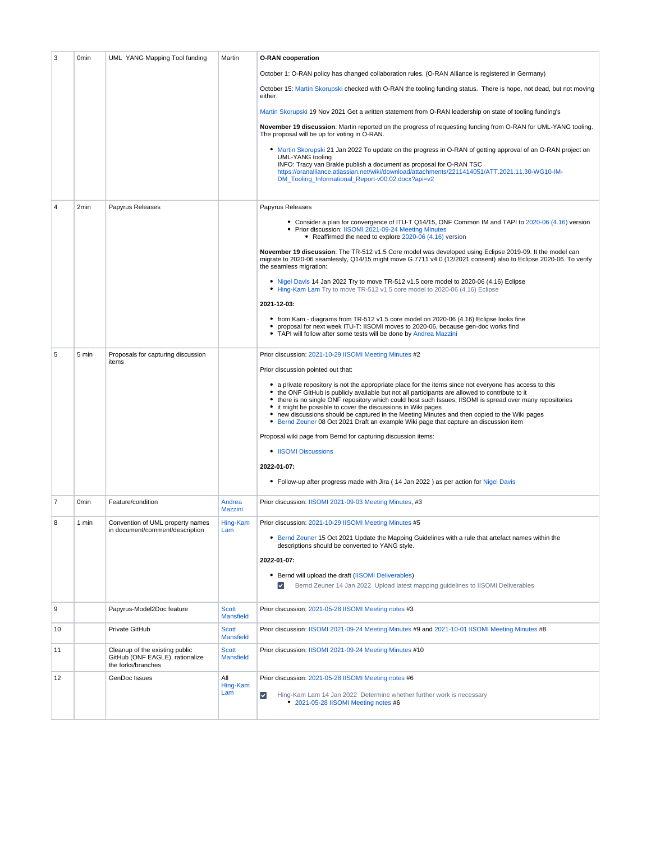| 3  | 0 <sub>min</sub> | UML YANG Mapping Tool funding                                                           | Martin                           | <b>O-RAN cooperation</b>                                                                                                                                                                                                                                                                                                                                                                                                                                          |
|----|------------------|-----------------------------------------------------------------------------------------|----------------------------------|-------------------------------------------------------------------------------------------------------------------------------------------------------------------------------------------------------------------------------------------------------------------------------------------------------------------------------------------------------------------------------------------------------------------------------------------------------------------|
|    |                  |                                                                                         |                                  | October 1: O-RAN policy has changed collaboration rules. (O-RAN Alliance is registered in Germany)                                                                                                                                                                                                                                                                                                                                                                |
|    |                  |                                                                                         |                                  | October 15: Martin Skorupski checked with O-RAN the tooling funding status. There is hope, not dead, but not moving<br>either.                                                                                                                                                                                                                                                                                                                                    |
|    |                  |                                                                                         |                                  | Martin Skorupski 19 Nov 2021 Get a written statement from O-RAN leadership on state of tooling funding's                                                                                                                                                                                                                                                                                                                                                          |
|    |                  |                                                                                         |                                  | November 19 discussion: Martin reported on the progress of requesting funding from O-RAN for UML-YANG tooling.<br>The proposal will be up for voting in O-RAN.                                                                                                                                                                                                                                                                                                    |
|    |                  |                                                                                         |                                  | • Martin Skorupski 21 Jan 2022 To update on the progress in O-RAN of getting approval of an O-RAN project on<br><b>UML-YANG tooling</b><br>INFO: Tracy van Brakle publish a document as proposal for O-RAN TSC<br>https://oranalliance.atlassian.net/wiki/download/attachments/2211414051/ATT.2021.11.30-WG10-IM-<br>DM_Tooling_Informational_Report-v00.02.docx?api=v2                                                                                           |
| 4  | 2min             | Papyrus Releases                                                                        |                                  | Papyrus Releases                                                                                                                                                                                                                                                                                                                                                                                                                                                  |
|    |                  |                                                                                         |                                  | • Consider a plan for convergence of ITU-T Q14/15, ONF Common IM and TAPI to 2020-06 (4.16) version<br>• Prior discussion: IISOMI 2021-09-24 Meeting Minutes<br>• Reaffirmed the need to explore 2020-06 (4.16) version                                                                                                                                                                                                                                           |
|    |                  |                                                                                         |                                  | November 19 discussion: The TR-512 v1.5 Core model was developed using Eclipse 2019-09. It the model can<br>migrate to 2020-06 seamlessly, Q14/15 might move G.7711 v4.0 (12/2021 consent) also to Eclipse 2020-06. To verify<br>the seamless migration:                                                                                                                                                                                                          |
|    |                  |                                                                                         |                                  | • Nigel Davis 14 Jan 2022 Try to move TR-512 v1.5 core model to 2020-06 (4.16) Eclipse<br>• Hing-Kam Lam Try to move TR-512 v1.5 core model to 2020-06 (4.16) Eclipse                                                                                                                                                                                                                                                                                             |
|    |                  |                                                                                         |                                  | 2021-12-03:                                                                                                                                                                                                                                                                                                                                                                                                                                                       |
|    |                  |                                                                                         |                                  | • from Kam - diagrams from TR-512 v1.5 core model on 2020-06 (4.16) Eclipse looks fine<br>٠<br>proposal for next week ITU-T: IISOMI moves to 2020-06, because gen-doc works find<br>• TAPI will follow after some tests will be done by Andrea Mazzini                                                                                                                                                                                                            |
| 5  | 5 min            | Proposals for capturing discussion<br>items                                             |                                  | Prior discussion: 2021-10-29 IISOMI Meeting Minutes #2                                                                                                                                                                                                                                                                                                                                                                                                            |
|    |                  |                                                                                         |                                  | Prior discussion pointed out that:<br>• a private repository is not the appropriate place for the items since not everyone has access to this                                                                                                                                                                                                                                                                                                                     |
|    |                  |                                                                                         |                                  | • the ONF GitHub is publicly available but not all participants are allowed to contribute to it<br>• there is no single ONF repository which could host such Issues; IISOMI is spread over many repositories<br>it might be possible to cover the discussions in Wiki pages<br>new discussions should be captured in the Meeting Minutes and then copied to the Wiki pages<br>Bernd Zeuner 08 Oct 2021 Draft an example Wiki page that capture an discussion item |
|    |                  |                                                                                         |                                  | Proposal wiki page from Bernd for capturing discussion items:                                                                                                                                                                                                                                                                                                                                                                                                     |
|    |                  |                                                                                         |                                  | • IISOMI Discussions<br>2022-01-07:                                                                                                                                                                                                                                                                                                                                                                                                                               |
|    |                  |                                                                                         |                                  | • Follow-up after progress made with Jira (14 Jan 2022) as per action for Nigel Davis                                                                                                                                                                                                                                                                                                                                                                             |
| 7  | 0 <sub>min</sub> | Feature/condition                                                                       | Andrea<br><b>Mazzini</b>         | Prior discussion: IISOMI 2021-09-03 Meeting Minutes, #3                                                                                                                                                                                                                                                                                                                                                                                                           |
| 8  | 1 min            | Convention of UML property names<br>in document/comment/description                     | Hing-Kam<br>Lam                  | Prior discussion: 2021-10-29 IISOMI Meeting Minutes #5                                                                                                                                                                                                                                                                                                                                                                                                            |
|    |                  |                                                                                         |                                  | • Bernd Zeuner 15 Oct 2021 Update the Mapping Guidelines with a rule that artefact names within the<br>descriptions should be converted to YANG style.                                                                                                                                                                                                                                                                                                            |
|    |                  |                                                                                         |                                  | 2022-01-07:                                                                                                                                                                                                                                                                                                                                                                                                                                                       |
|    |                  |                                                                                         |                                  | • Bernd will upload the draft (IISOMI Deliverables)<br>Bernd Zeuner 14 Jan 2022 Upload latest mapping guidelines to IISOMI Deliverables                                                                                                                                                                                                                                                                                                                           |
| 9  |                  | Papyrus-Model2Doc feature                                                               | <b>Scott</b><br><b>Mansfield</b> | Prior discussion: 2021-05-28 IISOMI Meeting notes #3                                                                                                                                                                                                                                                                                                                                                                                                              |
| 10 |                  | Private GitHub                                                                          | <b>Scott</b><br><b>Mansfield</b> | Prior discussion: IISOMI 2021-09-24 Meeting Minutes #9 and 2021-10-01 IISOMI Meeting Minutes #8                                                                                                                                                                                                                                                                                                                                                                   |
| 11 |                  | Cleanup of the existing public<br>GitHub (ONF EAGLE), rationalize<br>the forks/branches | <b>Scott</b><br><b>Mansfield</b> | Prior discussion: IISOMI 2021-09-24 Meeting Minutes #10                                                                                                                                                                                                                                                                                                                                                                                                           |
| 12 |                  | GenDoc Issues                                                                           | Αll<br>Hing-Kam<br>Lam           | Prior discussion: 2021-05-28 IISOMI Meeting notes #6                                                                                                                                                                                                                                                                                                                                                                                                              |
|    |                  |                                                                                         |                                  | $\left\vert \mathbf{v}\right\vert$<br>Hing-Kam Lam 14 Jan 2022 Determine whether further work is necessary<br>• 2021-05-28 IISOMI Meeting notes #6                                                                                                                                                                                                                                                                                                                |